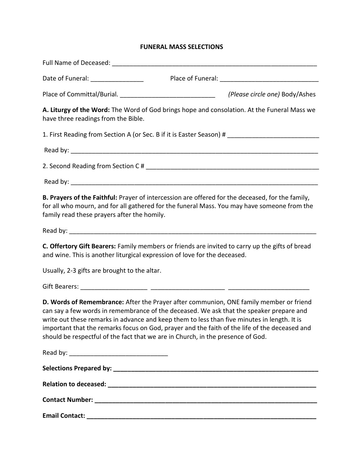## **FUNERAL MASS SELECTIONS**

| (Please circle one) Body/Ashes                                                                                                                                                                                                                                                                                                                                                                                                                                       |
|----------------------------------------------------------------------------------------------------------------------------------------------------------------------------------------------------------------------------------------------------------------------------------------------------------------------------------------------------------------------------------------------------------------------------------------------------------------------|
| A. Liturgy of the Word: The Word of God brings hope and consolation. At the Funeral Mass we<br>have three readings from the Bible.                                                                                                                                                                                                                                                                                                                                   |
| 1. First Reading from Section A (or Sec. B if it is Easter Season) # _______________________________                                                                                                                                                                                                                                                                                                                                                                 |
|                                                                                                                                                                                                                                                                                                                                                                                                                                                                      |
|                                                                                                                                                                                                                                                                                                                                                                                                                                                                      |
|                                                                                                                                                                                                                                                                                                                                                                                                                                                                      |
| B. Prayers of the Faithful: Prayer of intercession are offered for the deceased, for the family,<br>for all who mourn, and for all gathered for the funeral Mass. You may have someone from the<br>family read these prayers after the homily.                                                                                                                                                                                                                       |
|                                                                                                                                                                                                                                                                                                                                                                                                                                                                      |
| C. Offertory Gift Bearers: Family members or friends are invited to carry up the gifts of bread<br>and wine. This is another liturgical expression of love for the deceased.                                                                                                                                                                                                                                                                                         |
| Usually, 2-3 gifts are brought to the altar.                                                                                                                                                                                                                                                                                                                                                                                                                         |
|                                                                                                                                                                                                                                                                                                                                                                                                                                                                      |
| D. Words of Remembrance: After the Prayer after communion, ONE family member or friend<br>can say a few words in remembrance of the deceased. We ask that the speaker prepare and<br>write out these remarks in advance and keep them to less than five minutes in length. It is<br>important that the remarks focus on God, prayer and the faith of the life of the deceased and<br>should be respectful of the fact that we are in Church, in the presence of God. |
|                                                                                                                                                                                                                                                                                                                                                                                                                                                                      |
|                                                                                                                                                                                                                                                                                                                                                                                                                                                                      |
|                                                                                                                                                                                                                                                                                                                                                                                                                                                                      |
|                                                                                                                                                                                                                                                                                                                                                                                                                                                                      |
|                                                                                                                                                                                                                                                                                                                                                                                                                                                                      |